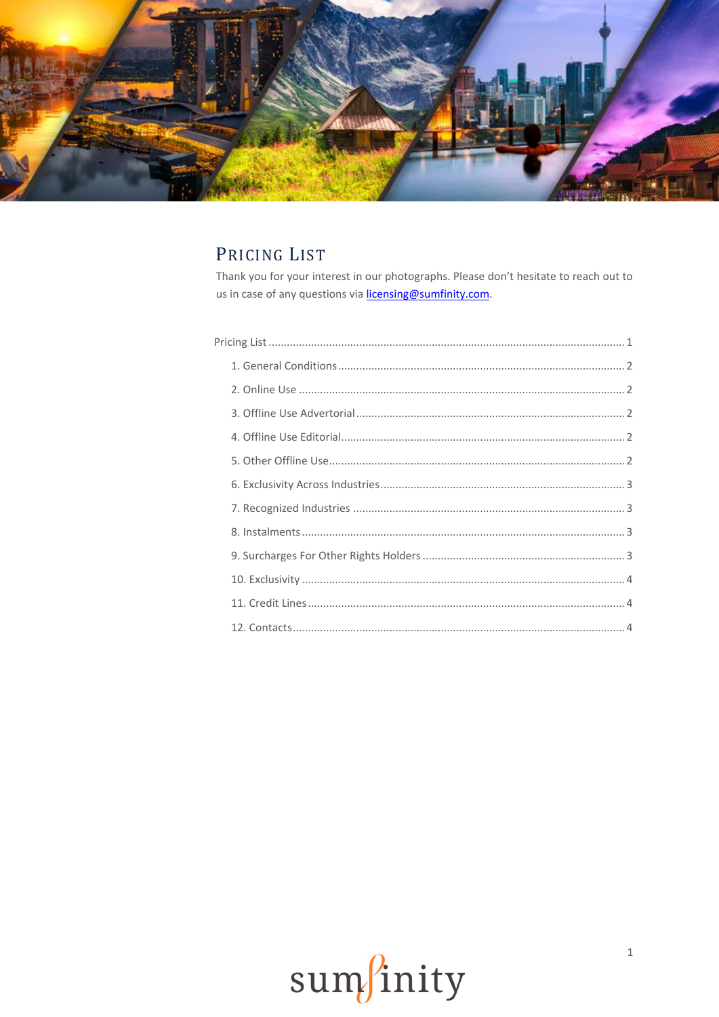

# <span id="page-0-0"></span>PRICING LIST

 $\overline{P}$ 

Thank you for your interest in our photographs. Please don't hesitate to reach out to us in case of any questions via licensing@sumfinity.com.

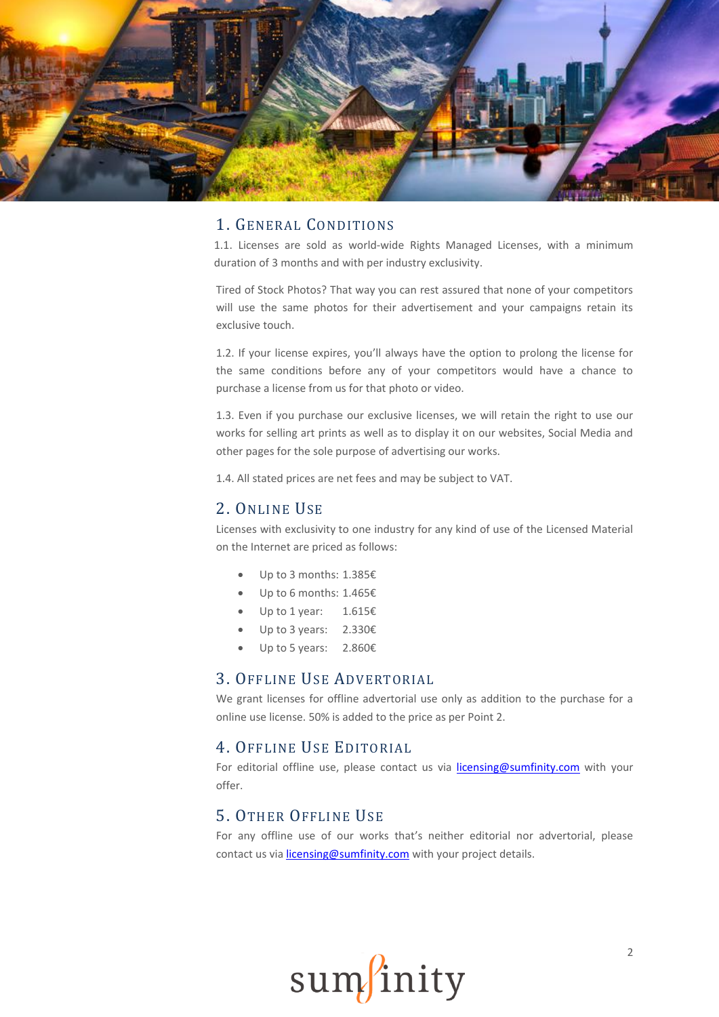

# 1. GENERAL CONDITIONS

<span id="page-1-0"></span>1.1. Licenses are sold as world-wide Rights Managed Licenses, with a minimum duration of 3 months and with per industry exclusivity.

Tired of Stock Photos? That way you can rest assured that none of your competitors will use the same photos for their advertisement and your campaigns retain its exclusive touch.

1.2. If your license expires, you'll always have the option to prolong the license for the same conditions before any of your competitors would have a chance to purchase a license from us for that photo or video.

1.3. Even if you purchase our exclusive licenses, we will retain the right to use our works for selling art prints as well as to display it on our websites, Social Media and other pages for the sole purpose of advertising our works.

1.4. All stated prices are net fees and may be subject to VAT.

#### <span id="page-1-1"></span>2. ONLINE USE

Licenses with exclusivity to one industry for any kind of use of the Licensed Material on the Internet are priced as follows:

- Up to 3 months: 1.385€
- Up to 6 months: 1.465€
- Up to 1 year: 1.615€
- Up to 3 years: 2.330€
- Up to 5 years: 2.860€

#### <span id="page-1-2"></span>3. OFFLINE USE ADVERTORIAL

We grant licenses for offline advertorial use only as addition to the purchase for a online use license. 50% is added to the price as per Point 2.

#### <span id="page-1-3"></span>4. OFFLINE USE EDITORIAL

For editorial offline use, please contact us via [licensing@sumfinity.com](mailto:licensing@sumfinity.com) with your offer.

#### <span id="page-1-4"></span>5. OTHER OFFLINE USE

For any offline use of our works that's neither editorial nor advertorial, please contact us via [licensing@sumfinity.com](mailto:licensing@sumfinity.com) with your project details.

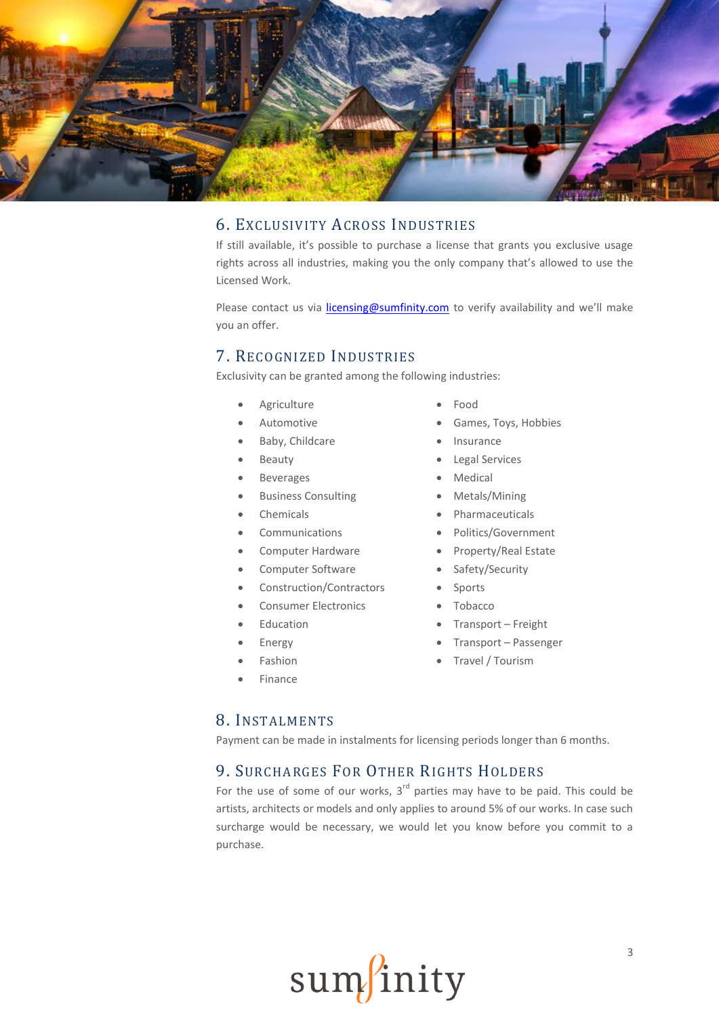

# <span id="page-2-0"></span>6. EXCLUSIVITY ACROSS INDUSTRIES

If still available, it's possible to purchase a license that grants you exclusive usage rights across all industries, making you the only company that's allowed to use the Licensed Work.

Please contact us via *licensing@sumfinity.com* to verify availability and we'll make you an offer.

#### <span id="page-2-1"></span>7. RECOGNIZED INDUSTRIES

Exclusivity can be granted among the following industries:

- Agriculture
- Automotive
- Baby, Childcare
- Beauty
- Beverages
- Business Consulting
- Chemicals
- Communications
- Computer Hardware
- Computer Software
- Construction/Contractors
- Consumer Electronics
- Education
- Energy
- Fashion
- Finance
- Food
- Games, Toys, Hobbies
- Insurance
- Legal Services
- Medical
- Metals/Mining
- Pharmaceuticals
- Politics/Government
- Property/Real Estate
- Safety/Security
- Sports
- Tobacco
- Transport Freight
- Transport Passenger
- Travel / Tourism

#### <span id="page-2-2"></span>8. INSTALMENTS

Payment can be made in instalments for licensing periods longer than 6 months.

# <span id="page-2-3"></span>9. SURCHARGES FOR OTHER RIGHTS HOLDERS

For the use of some of our works,  $3<sup>rd</sup>$  parties may have to be paid. This could be artists, architects or models and only applies to around 5% of our works. In case such surcharge would be necessary, we would let you know before you commit to a purchase.